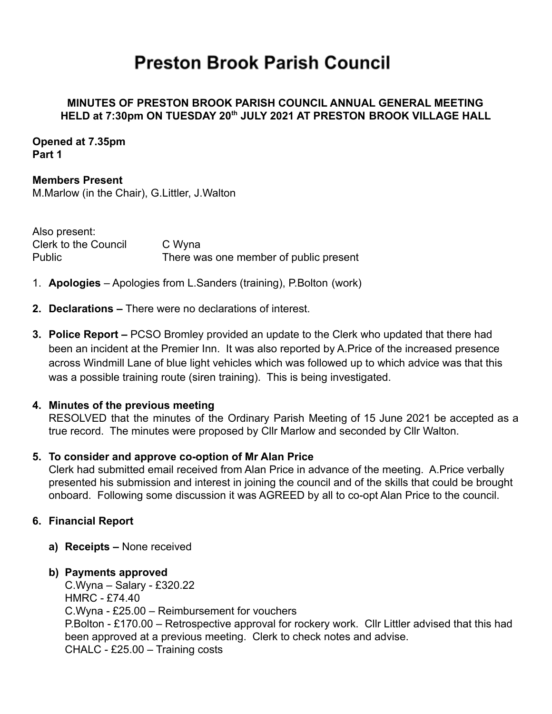# **Preston Brook Parish Council**

## **MINUTES OF PRESTON BROOK PARISH COUNCIL ANNUAL GENERAL MEETING HELD at 7:30pm ON TUESDAY 20th JULY 2021 AT PRESTON BROOK VILLAGE HALL**

**Opened at 7.35pm Part 1**

**Members Present** M.Marlow (in the Chair), G.Littler, J.Walton

Also present: Clerk to the Council C Wyna Public There was one member of public present

- 1. **Apologies** Apologies from L.Sanders (training), P.Bolton (work)
- **2. Declarations –** There were no declarations of interest.
- **3. Police Report –** PCSO Bromley provided an update to the Clerk who updated that there had been an incident at the Premier Inn. It was also reported by A.Price of the increased presence across Windmill Lane of blue light vehicles which was followed up to which advice was that this was a possible training route (siren training). This is being investigated.

## **4. Minutes of the previous meeting**

RESOLVED that the minutes of the Ordinary Parish Meeting of 15 June 2021 be accepted as a true record. The minutes were proposed by Cllr Marlow and seconded by Cllr Walton.

## **5. To consider and approve co-option of Mr Alan Price**

Clerk had submitted email received from Alan Price in advance of the meeting. A.Price verbally presented his submission and interest in joining the council and of the skills that could be brought onboard. Following some discussion it was AGREED by all to co-opt Alan Price to the council.

## **6. Financial Report**

**a) Receipts –** None received

## **b) Payments approved**

C.Wyna – Salary - £320.22 HMRC - £74.40 C.Wyna - £25.00 – Reimbursement for vouchers P.Bolton - £170.00 – Retrospective approval for rockery work. Cllr Littler advised that this had been approved at a previous meeting. Clerk to check notes and advise. CHALC - £25.00 – Training costs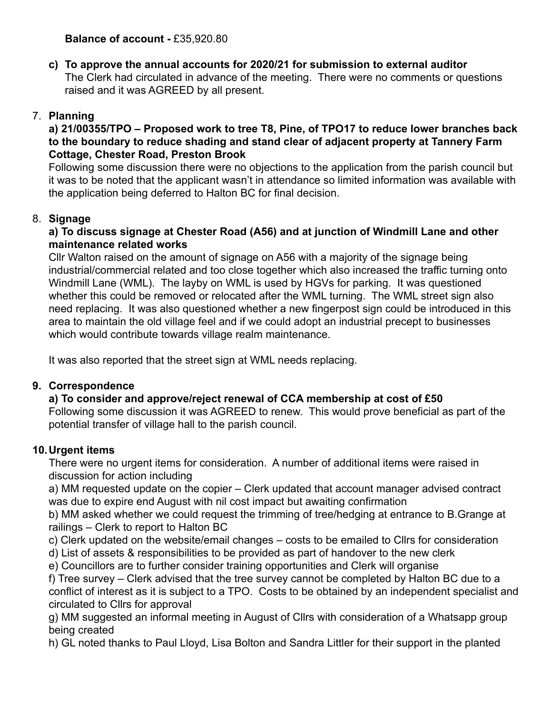# **Balance of account -** £35,920.80

**c) To approve the annual accounts for 2020/21 for submission to external auditor** The Clerk had circulated in advance of the meeting. There were no comments or questions raised and it was AGREED by all present.

# 7. **Planning**

## **a) 21/00355/TPO – Proposed work to tree T8, Pine, of TPO17 to reduce lower branches back to the boundary to reduce shading and stand clear of adjacent property at Tannery Farm Cottage, Chester Road, Preston Brook**

Following some discussion there were no objections to the application from the parish council but it was to be noted that the applicant wasn't in attendance so limited information was available with the application being deferred to Halton BC for final decision.

# 8. **Signage**

# **a) To discuss signage at Chester Road (A56) and at junction of Windmill Lane and other maintenance related works**

Cllr Walton raised on the amount of signage on A56 with a majority of the signage being industrial/commercial related and too close together which also increased the traffic turning onto Windmill Lane (WML). The layby on WML is used by HGVs for parking. It was questioned whether this could be removed or relocated after the WML turning. The WML street sign also need replacing. It was also questioned whether a new fingerpost sign could be introduced in this area to maintain the old village feel and if we could adopt an industrial precept to businesses which would contribute towards village realm maintenance.

It was also reported that the street sign at WML needs replacing.

# **9. Correspondence**

# **a) To consider and approve/reject renewal of CCA membership at cost of £50**

Following some discussion it was AGREED to renew. This would prove beneficial as part of the potential transfer of village hall to the parish council.

# **10.Urgent items**

There were no urgent items for consideration. A number of additional items were raised in discussion for action including

a) MM requested update on the copier – Clerk updated that account manager advised contract was due to expire end August with nil cost impact but awaiting confirmation

b) MM asked whether we could request the trimming of tree/hedging at entrance to B.Grange at railings – Clerk to report to Halton BC

- c) Clerk updated on the website/email changes costs to be emailed to Cllrs for consideration
- d) List of assets & responsibilities to be provided as part of handover to the new clerk
- e) Councillors are to further consider training opportunities and Clerk will organise

f) Tree survey – Clerk advised that the tree survey cannot be completed by Halton BC due to a conflict of interest as it is subject to a TPO. Costs to be obtained by an independent specialist and circulated to Cllrs for approval

g) MM suggested an informal meeting in August of Cllrs with consideration of a Whatsapp group being created

h) GL noted thanks to Paul Lloyd, Lisa Bolton and Sandra Littler for their support in the planted